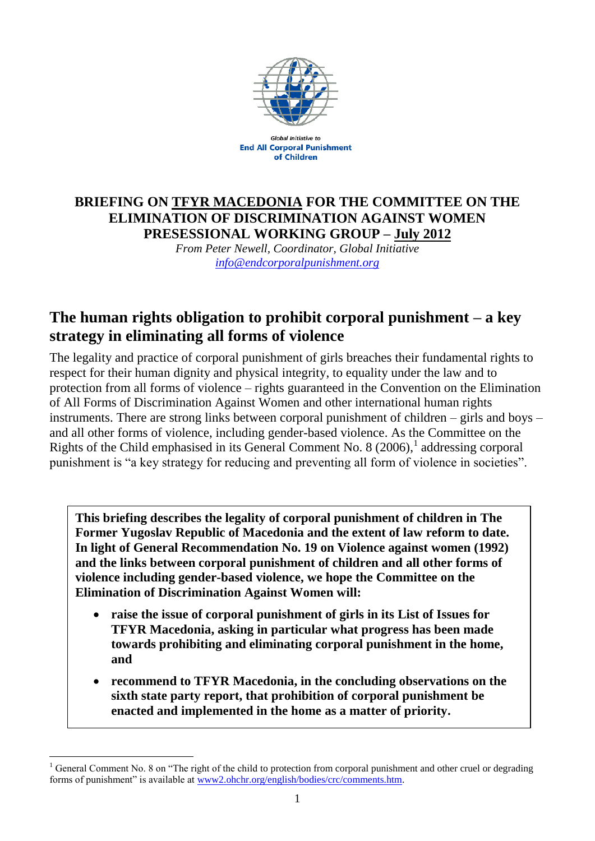

**Global Initiative to End All Corporal Punishment** of Children

## **BRIEFING ON TFYR MACEDONIA FOR THE COMMITTEE ON THE ELIMINATION OF DISCRIMINATION AGAINST WOMEN PRESESSIONAL WORKING GROUP – July 2012**

*From Peter Newell, Coordinator, Global Initiative [info@endcorporalpunishment.org](mailto:info@endcorporalpunishment.org)*

# **The human rights obligation to prohibit corporal punishment – a key strategy in eliminating all forms of violence**

The legality and practice of corporal punishment of girls breaches their fundamental rights to respect for their human dignity and physical integrity, to equality under the law and to protection from all forms of violence – rights guaranteed in the Convention on the Elimination of All Forms of Discrimination Against Women and other international human rights instruments. There are strong links between corporal punishment of children – girls and boys – and all other forms of violence, including gender-based violence. As the Committee on the Rights of the Child emphasised in its General Comment No. 8  $(2006)$ , addressing corporal punishment is "a key strategy for reducing and preventing all form of violence in societies".

**This briefing describes the legality of corporal punishment of children in The Former Yugoslav Republic of Macedonia and the extent of law reform to date. In light of General Recommendation No. 19 on Violence against women (1992) and the links between corporal punishment of children and all other forms of violence including gender-based violence, we hope the Committee on the Elimination of Discrimination Against Women will:**

- **raise the issue of corporal punishment of girls in its List of Issues for TFYR Macedonia, asking in particular what progress has been made towards prohibiting and eliminating corporal punishment in the home, and**
- **recommend to TFYR Macedonia, in the concluding observations on the sixth state party report, that prohibition of corporal punishment be enacted and implemented in the home as a matter of priority.**

 $\overline{a}$  $1$  General Comment No. 8 on "The right of the child to protection from corporal punishment and other cruel or degrading forms of punishment" is available at [www2.ohchr.org/english/bodies/crc/comments.htm.](http://www.ohchr.org/english/bodies/crc/comments.htm)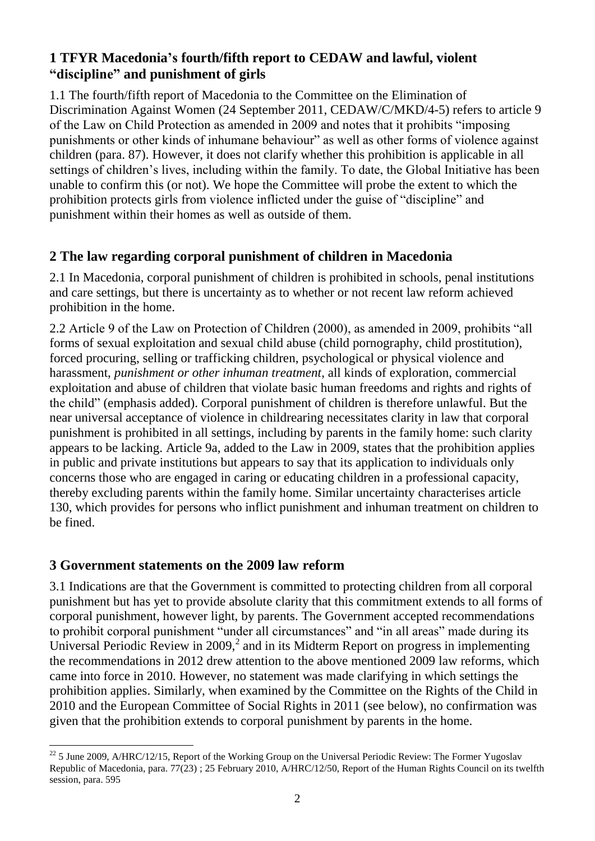## **1 TFYR Macedonia's fourth/fifth report to CEDAW and lawful, violent "discipline" and punishment of girls**

1.1 The fourth/fifth report of Macedonia to the Committee on the Elimination of Discrimination Against Women (24 September 2011, CEDAW/C/MKD/4-5) refers to article 9 of the Law on Child Protection as amended in 2009 and notes that it prohibits "imposing punishments or other kinds of inhumane behaviour" as well as other forms of violence against children (para. 87). However, it does not clarify whether this prohibition is applicable in all settings of children's lives, including within the family. To date, the Global Initiative has been unable to confirm this (or not). We hope the Committee will probe the extent to which the prohibition protects girls from violence inflicted under the guise of "discipline" and punishment within their homes as well as outside of them.

## **2 The law regarding corporal punishment of children in Macedonia**

2.1 In Macedonia, corporal punishment of children is prohibited in schools, penal institutions and care settings, but there is uncertainty as to whether or not recent law reform achieved prohibition in the home.

2.2 Article 9 of the Law on Protection of Children (2000), as amended in 2009, prohibits "all forms of sexual exploitation and sexual child abuse (child pornography, child prostitution), forced procuring, selling or trafficking children, psychological or physical violence and harassment, *punishment or other inhuman treatment*, all kinds of exploration, commercial exploitation and abuse of children that violate basic human freedoms and rights and rights of the child" (emphasis added). Corporal punishment of children is therefore unlawful. But the near universal acceptance of violence in childrearing necessitates clarity in law that corporal punishment is prohibited in all settings, including by parents in the family home: such clarity appears to be lacking. Article 9a, added to the Law in 2009, states that the prohibition applies in public and private institutions but appears to say that its application to individuals only concerns those who are engaged in caring or educating children in a professional capacity, thereby excluding parents within the family home. Similar uncertainty characterises article 130, which provides for persons who inflict punishment and inhuman treatment on children to be fined.

## **3 Government statements on the 2009 law reform**

 $\overline{a}$ 

3.1 Indications are that the Government is committed to protecting children from all corporal punishment but has yet to provide absolute clarity that this commitment extends to all forms of corporal punishment, however light, by parents. The Government accepted recommendations to prohibit corporal punishment "under all circumstances" and "in all areas" made during its Universal Periodic Review in 2009, $^2$  and in its Midterm Report on progress in implementing the recommendations in 2012 drew attention to the above mentioned 2009 law reforms, which came into force in 2010. However, no statement was made clarifying in which settings the prohibition applies. Similarly, when examined by the Committee on the Rights of the Child in 2010 and the European Committee of Social Rights in 2011 (see below), no confirmation was given that the prohibition extends to corporal punishment by parents in the home.

 $^{22}$  5 June 2009, A/HRC/12/15, Report of the Working Group on the Universal Periodic Review: The Former Yugoslav Republic of Macedonia, para. 77(23) ; 25 February 2010, A/HRC/12/50, Report of the Human Rights Council on its twelfth session, para. 595